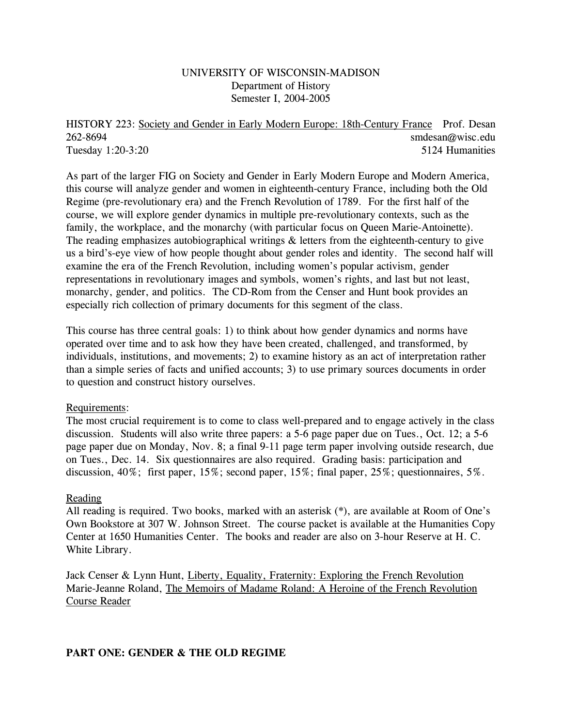# UNIVERSITY OF WISCONSIN-MADISON Department of History Semester I, 2004-2005

HISTORY 223: Society and Gender in Early Modern Europe: 18th-Century France Prof. Desan 262-8694 smdesan@wisc.edu Tuesday 1:20-3:20 5124 Humanities

As part of the larger FIG on Society and Gender in Early Modern Europe and Modern America, this course will analyze gender and women in eighteenth-century France, including both the Old Regime (pre-revolutionary era) and the French Revolution of 1789. For the first half of the course, we will explore gender dynamics in multiple pre-revolutionary contexts, such as the family, the workplace, and the monarchy (with particular focus on Queen Marie-Antoinette). The reading emphasizes autobiographical writings & letters from the eighteenth-century to give us a bird's-eye view of how people thought about gender roles and identity. The second half will examine the era of the French Revolution, including women's popular activism, gender representations in revolutionary images and symbols, women's rights, and last but not least, monarchy, gender, and politics. The CD-Rom from the Censer and Hunt book provides an especially rich collection of primary documents for this segment of the class.

This course has three central goals: 1) to think about how gender dynamics and norms have operated over time and to ask how they have been created, challenged, and transformed, by individuals, institutions, and movements; 2) to examine history as an act of interpretation rather than a simple series of facts and unified accounts; 3) to use primary sources documents in order to question and construct history ourselves.

### Requirements:

The most crucial requirement is to come to class well-prepared and to engage actively in the class discussion. Students will also write three papers: a 5-6 page paper due on Tues., Oct. 12; a 5-6 page paper due on Monday, Nov. 8; a final 9-11 page term paper involving outside research, due on Tues., Dec. 14. Six questionnaires are also required. Grading basis: participation and discussion, 40%; first paper, 15%; second paper, 15%; final paper, 25%; questionnaires, 5%.

## Reading

All reading is required. Two books, marked with an asterisk (\*), are available at Room of One's Own Bookstore at 307 W. Johnson Street. The course packet is available at the Humanities Copy Center at 1650 Humanities Center. The books and reader are also on 3-hour Reserve at H. C. White Library.

Jack Censer & Lynn Hunt, Liberty, Equality, Fraternity: Exploring the French Revolution Marie-Jeanne Roland, The Memoirs of Madame Roland: A Heroine of the French Revolution Course Reader

## **PART ONE: GENDER & THE OLD REGIME**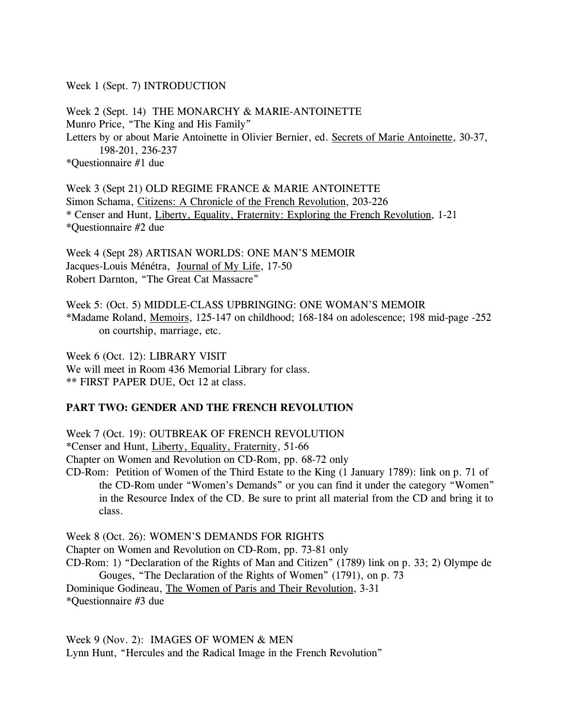Week 1 (Sept. 7) INTRODUCTION

Week 2 (Sept. 14) THE MONARCHY & MARIE-ANTOINETTE Munro Price, "The King and His Family" Letters by or about Marie Antoinette in Olivier Bernier, ed. Secrets of Marie Antoinette, 30-37, 198-201, 236-237 \*Questionnaire #1 due

Week 3 (Sept 21) OLD REGIME FRANCE & MARIE ANTOINETTE Simon Schama, Citizens: A Chronicle of the French Revolution, 203-226 \* Censer and Hunt, Liberty, Equality, Fraternity: Exploring the French Revolution, 1-21 \*Questionnaire #2 due

Week 4 (Sept 28) ARTISAN WORLDS: ONE MAN'S MEMOIR Jacques-Louis Ménétra, Journal of My Life, 17-50 Robert Darnton, "The Great Cat Massacre"

Week 5: (Oct. 5) MIDDLE-CLASS UPBRINGING: ONE WOMAN'S MEMOIR \*Madame Roland, Memoirs, 125-147 on childhood; 168-184 on adolescence; 198 mid-page -252 on courtship, marriage, etc.

Week 6 (Oct. 12): LIBRARY VISIT We will meet in Room 436 Memorial Library for class. \*\* FIRST PAPER DUE, Oct 12 at class.

### **PART TWO: GENDER AND THE FRENCH REVOLUTION**

Week 7 (Oct. 19): OUTBREAK OF FRENCH REVOLUTION

\*Censer and Hunt, Liberty, Equality, Fraternity, 51-66

Chapter on Women and Revolution on CD-Rom, pp. 68-72 only

CD-Rom: Petition of Women of the Third Estate to the King (1 January 1789): link on p. 71 of the CD-Rom under "Women's Demands" or you can find it under the category "Women" in the Resource Index of the CD. Be sure to print all material from the CD and bring it to class.

Week 8 (Oct. 26): WOMEN'S DEMANDS FOR RIGHTS Chapter on Women and Revolution on CD-Rom, pp. 73-81 only CD-Rom: 1) "Declaration of the Rights of Man and Citizen" (1789) link on p. 33; 2) Olympe de Gouges, "The Declaration of the Rights of Women" (1791), on p. 73 Dominique Godineau, The Women of Paris and Their Revolution, 3-31 \*Questionnaire #3 due

Week 9 (Nov. 2): IMAGES OF WOMEN & MEN Lynn Hunt, "Hercules and the Radical Image in the French Revolution"